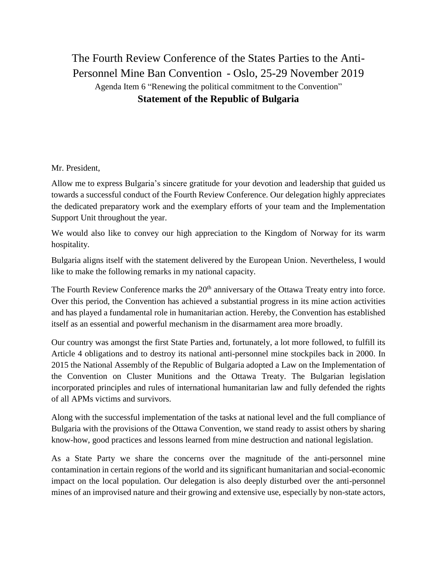## The Fourth Review Conference of the States Parties to the Anti-Personnel Mine Ban Convention - Oslo, 25-29 November 2019 Agenda Item 6 "Renewing the political commitment to the Convention" **Statement of the Republic of Bulgaria**

Mr. President,

Allow me to express Bulgaria's sincere gratitude for your devotion and leadership that guided us towards a successful conduct of the Fourth Review Conference. Our delegation highly appreciates the dedicated preparatory work and the exemplary efforts of your team and the Implementation Support Unit throughout the year.

We would also like to convey our high appreciation to the Kingdom of Norway for its warm hospitality.

Bulgaria aligns itself with the statement delivered by the European Union. Nevertheless, I would like to make the following remarks in my national capacity.

The Fourth Review Conference marks the 20<sup>th</sup> anniversary of the Ottawa Treaty entry into force. Over this period, the Convention has achieved a substantial progress in its mine action activities and has played a fundamental role in humanitarian action. Hereby, the Convention has established itself as an essential and powerful mechanism in the disarmament area more broadly.

Our country was amongst the first State Parties and, fortunately, a lot more followed, to fulfill its Article 4 obligations and to destroy its national anti-personnel mine stockpiles back in 2000. In 2015 the National Assembly of the Republic of Bulgaria adopted a Law on the Implementation of the Convention on Cluster Munitions and the Ottawa Treaty. The Bulgarian legislation incorporated principles and rules of international humanitarian law and fully defended the rights of all APMs victims and survivors.

Along with the successful implementation of the tasks at national level and the full compliance of Bulgaria with the provisions of the Ottawa Convention, we stand ready to assist others by sharing know-how, good practices and lessons learned from mine destruction and national legislation.

As a State Party we share the concerns over the magnitude of the anti-personnel mine contamination in certain regions of the world and its significant humanitarian and social-economic impact on the local population. Our delegation is also deeply disturbed over the anti-personnel mines of an improvised nature and their growing and extensive use, especially by non-state actors,